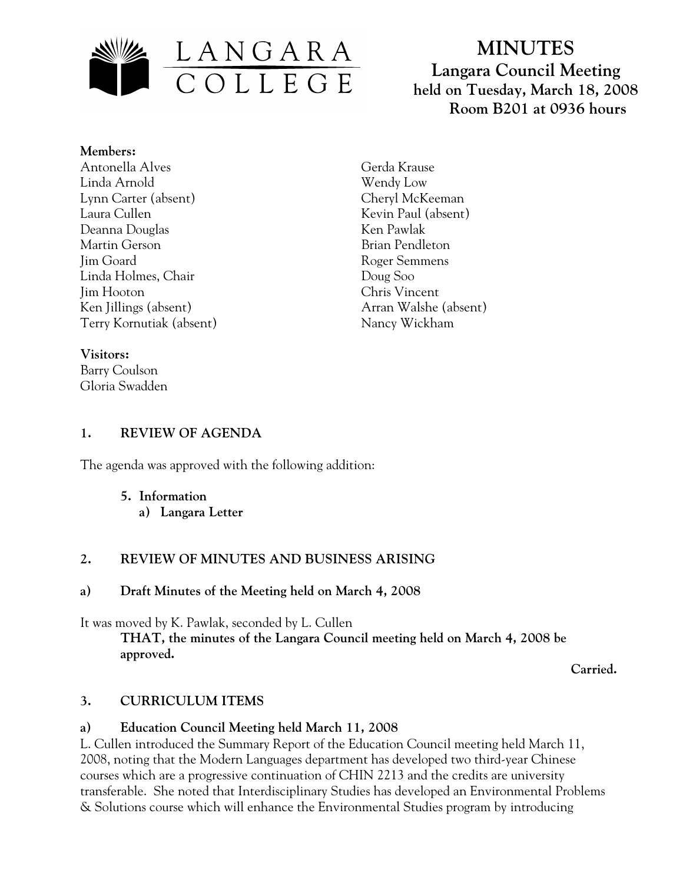

# **MINUTES Langara Council Meeting held on Tuesday, March 18, 2008 Room B201 at 0936 hours**

#### **Members:**

Antonella Alves Linda Arnold Lynn Carter (absent) Laura Cullen Deanna Douglas Martin Gerson Jim Goard Linda Holmes, Chair Jim Hooton Ken Jillings (absent) Terry Kornutiak (absent)

## **Visitors:**

Barry Coulson Gloria Swadden Gerda Krause Wendy Low Cheryl McKeeman Kevin Paul (absent) Ken Pawlak Brian Pendleton Roger Semmens Doug Soo Chris Vincent Arran Walshe (absent) Nancy Wickham

## **1. REVIEW OF AGENDA**

The agenda was approved with the following addition:

- **5. Information** 
	- **a) Langara Letter**

# **2. REVIEW OF MINUTES AND BUSINESS ARISING**

## **a) Draft Minutes of the Meeting held on March 4, 2008**

It was moved by K. Pawlak, seconded by L. Cullen **THAT, the minutes of the Langara Council meeting held on March 4, 2008 be approved.** 

 **Carried.** 

# **3. CURRICULUM ITEMS**

## **a) Education Council Meeting held March 11, 2008**

L. Cullen introduced the Summary Report of the Education Council meeting held March 11, 2008, noting that the Modern Languages department has developed two third-year Chinese courses which are a progressive continuation of CHIN 2213 and the credits are university transferable. She noted that Interdisciplinary Studies has developed an Environmental Problems & Solutions course which will enhance the Environmental Studies program by introducing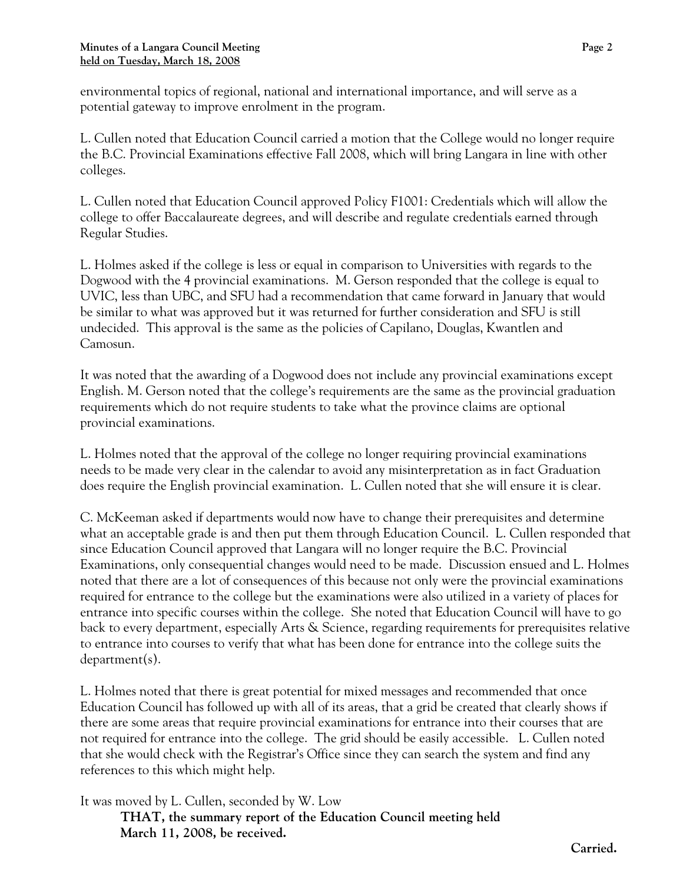environmental topics of regional, national and international importance, and will serve as a potential gateway to improve enrolment in the program.

L. Cullen noted that Education Council carried a motion that the College would no longer require the B.C. Provincial Examinations effective Fall 2008, which will bring Langara in line with other colleges.

L. Cullen noted that Education Council approved Policy F1001: Credentials which will allow the college to offer Baccalaureate degrees, and will describe and regulate credentials earned through Regular Studies.

L. Holmes asked if the college is less or equal in comparison to Universities with regards to the Dogwood with the 4 provincial examinations. M. Gerson responded that the college is equal to UVIC, less than UBC, and SFU had a recommendation that came forward in January that would be similar to what was approved but it was returned for further consideration and SFU is still undecided. This approval is the same as the policies of Capilano, Douglas, Kwantlen and Camosun.

It was noted that the awarding of a Dogwood does not include any provincial examinations except English. M. Gerson noted that the college's requirements are the same as the provincial graduation requirements which do not require students to take what the province claims are optional provincial examinations.

L. Holmes noted that the approval of the college no longer requiring provincial examinations needs to be made very clear in the calendar to avoid any misinterpretation as in fact Graduation does require the English provincial examination. L. Cullen noted that she will ensure it is clear.

C. McKeeman asked if departments would now have to change their prerequisites and determine what an acceptable grade is and then put them through Education Council. L. Cullen responded that since Education Council approved that Langara will no longer require the B.C. Provincial Examinations, only consequential changes would need to be made. Discussion ensued and L. Holmes noted that there are a lot of consequences of this because not only were the provincial examinations required for entrance to the college but the examinations were also utilized in a variety of places for entrance into specific courses within the college. She noted that Education Council will have to go back to every department, especially Arts & Science, regarding requirements for prerequisites relative to entrance into courses to verify that what has been done for entrance into the college suits the department(s).

L. Holmes noted that there is great potential for mixed messages and recommended that once Education Council has followed up with all of its areas, that a grid be created that clearly shows if there are some areas that require provincial examinations for entrance into their courses that are not required for entrance into the college. The grid should be easily accessible. L. Cullen noted that she would check with the Registrar's Office since they can search the system and find any references to this which might help.

It was moved by L. Cullen, seconded by W. Low

**THAT, the summary report of the Education Council meeting held March 11, 2008, be received.**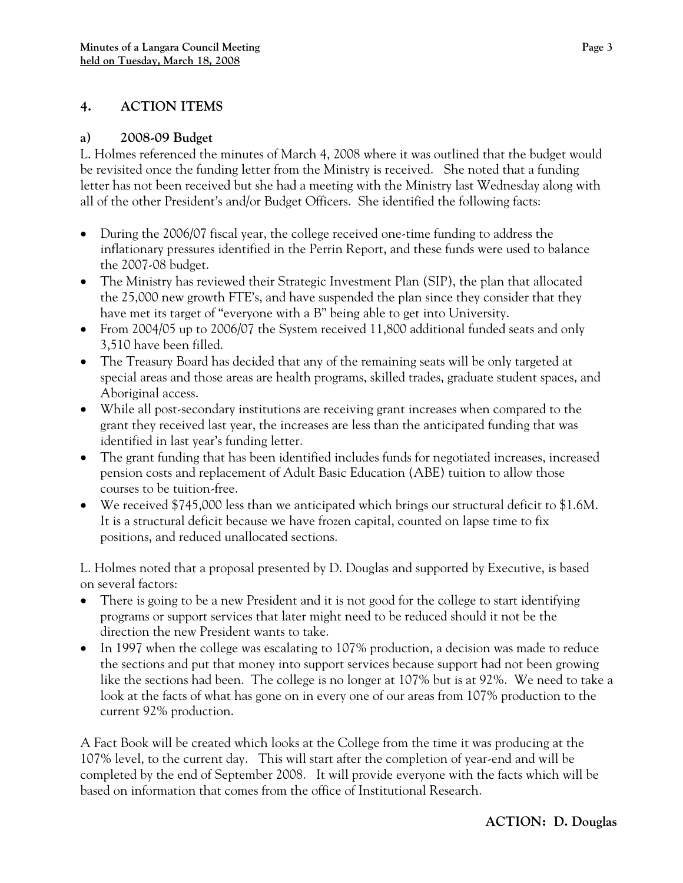# **4. ACTION ITEMS**

#### **a) 2008-09 Budget**

L. Holmes referenced the minutes of March 4, 2008 where it was outlined that the budget would be revisited once the funding letter from the Ministry is received. She noted that a funding letter has not been received but she had a meeting with the Ministry last Wednesday along with all of the other President's and/or Budget Officers. She identified the following facts:

- During the 2006/07 fiscal year, the college received one-time funding to address the inflationary pressures identified in the Perrin Report, and these funds were used to balance the 2007-08 budget.
- The Ministry has reviewed their Strategic Investment Plan (SIP), the plan that allocated the 25,000 new growth FTE's, and have suspended the plan since they consider that they have met its target of "everyone with a B" being able to get into University.
- From 2004/05 up to 2006/07 the System received 11,800 additional funded seats and only 3,510 have been filled.
- The Treasury Board has decided that any of the remaining seats will be only targeted at special areas and those areas are health programs, skilled trades, graduate student spaces, and Aboriginal access.
- While all post-secondary institutions are receiving grant increases when compared to the grant they received last year, the increases are less than the anticipated funding that was identified in last year's funding letter.
- The grant funding that has been identified includes funds for negotiated increases, increased pension costs and replacement of Adult Basic Education (ABE) tuition to allow those courses to be tuition-free.
- We received \$745,000 less than we anticipated which brings our structural deficit to \$1.6M. It is a structural deficit because we have frozen capital, counted on lapse time to fix positions, and reduced unallocated sections.

L. Holmes noted that a proposal presented by D. Douglas and supported by Executive, is based on several factors:

- There is going to be a new President and it is not good for the college to start identifying programs or support services that later might need to be reduced should it not be the direction the new President wants to take.
- In 1997 when the college was escalating to 107% production, a decision was made to reduce the sections and put that money into support services because support had not been growing like the sections had been. The college is no longer at 107% but is at 92%. We need to take a look at the facts of what has gone on in every one of our areas from 107% production to the current 92% production.

A Fact Book will be created which looks at the College from the time it was producing at the 107% level, to the current day. This will start after the completion of year-end and will be completed by the end of September 2008. It will provide everyone with the facts which will be based on information that comes from the office of Institutional Research.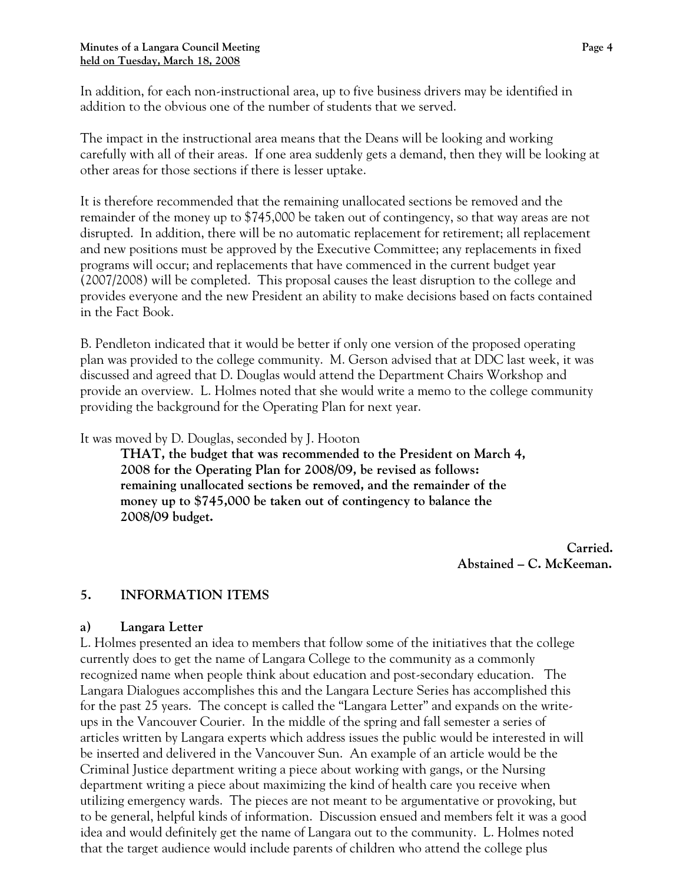In addition, for each non-instructional area, up to five business drivers may be identified in addition to the obvious one of the number of students that we served.

The impact in the instructional area means that the Deans will be looking and working carefully with all of their areas. If one area suddenly gets a demand, then they will be looking at other areas for those sections if there is lesser uptake.

It is therefore recommended that the remaining unallocated sections be removed and the remainder of the money up to \$745,000 be taken out of contingency, so that way areas are not disrupted. In addition, there will be no automatic replacement for retirement; all replacement and new positions must be approved by the Executive Committee; any replacements in fixed programs will occur; and replacements that have commenced in the current budget year (2007/2008) will be completed. This proposal causes the least disruption to the college and provides everyone and the new President an ability to make decisions based on facts contained in the Fact Book.

B. Pendleton indicated that it would be better if only one version of the proposed operating plan was provided to the college community. M. Gerson advised that at DDC last week, it was discussed and agreed that D. Douglas would attend the Department Chairs Workshop and provide an overview. L. Holmes noted that she would write a memo to the college community providing the background for the Operating Plan for next year.

It was moved by D. Douglas, seconded by J. Hooton

**THAT, the budget that was recommended to the President on March 4, 2008 for the Operating Plan for 2008/09, be revised as follows: remaining unallocated sections be removed, and the remainder of the money up to \$745,000 be taken out of contingency to balance the 2008/09 budget.** 

> **Carried. Abstained – C. McKeeman.**

## **5. INFORMATION ITEMS**

#### **a) Langara Letter**

L. Holmes presented an idea to members that follow some of the initiatives that the college currently does to get the name of Langara College to the community as a commonly recognized name when people think about education and post-secondary education. The Langara Dialogues accomplishes this and the Langara Lecture Series has accomplished this for the past 25 years. The concept is called the "Langara Letter" and expands on the writeups in the Vancouver Courier. In the middle of the spring and fall semester a series of articles written by Langara experts which address issues the public would be interested in will be inserted and delivered in the Vancouver Sun. An example of an article would be the Criminal Justice department writing a piece about working with gangs, or the Nursing department writing a piece about maximizing the kind of health care you receive when utilizing emergency wards. The pieces are not meant to be argumentative or provoking, but to be general, helpful kinds of information. Discussion ensued and members felt it was a good idea and would definitely get the name of Langara out to the community. L. Holmes noted that the target audience would include parents of children who attend the college plus